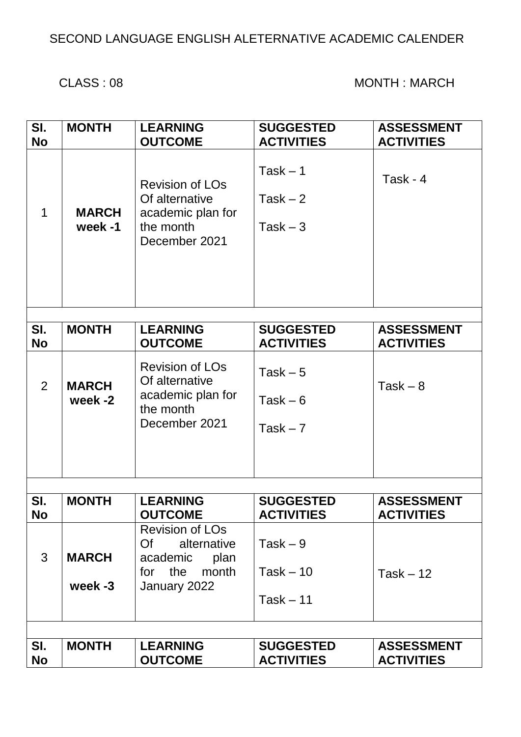### SECOND LANGUAGE ENGLISH ALETERNATIVE ACADEMIC CALENDER

#### CLASS : 08 MONTH : MARCH

| SI.            | <b>MONTH</b>            | <b>LEARNING</b>                                                                                        | <b>SUGGESTED</b>                        | <b>ASSESSMENT</b> |
|----------------|-------------------------|--------------------------------------------------------------------------------------------------------|-----------------------------------------|-------------------|
| <b>No</b>      |                         | <b>OUTCOME</b>                                                                                         | <b>ACTIVITIES</b>                       | <b>ACTIVITIES</b> |
| $\mathbf 1$    | <b>MARCH</b><br>week -1 | <b>Revision of LOs</b><br>Of alternative<br>academic plan for<br>the month<br>December 2021            | $Task - 1$<br>Task $-2$<br>Task $-3$    | Task - $4$        |
| SI.            | <b>MONTH</b>            | <b>LEARNING</b>                                                                                        | <b>SUGGESTED</b>                        | <b>ASSESSMENT</b> |
| <b>No</b>      |                         | <b>OUTCOME</b>                                                                                         | <b>ACTIVITIES</b>                       | <b>ACTIVITIES</b> |
| $\overline{2}$ | <b>MARCH</b><br>week -2 | <b>Revision of LOs</b><br>Of alternative<br>academic plan for<br>the month<br>December 2021            | Task $-5$<br>Task $-6$<br>Task $-7$     | $Task - 8$        |
| SI.            | <b>MONTH</b>            | <b>LEARNING</b>                                                                                        | <b>SUGGESTED</b>                        | <b>ASSESSMENT</b> |
| <b>No</b>      |                         | <b>OUTCOME</b>                                                                                         | <b>ACTIVITIES</b>                       | <b>ACTIVITIES</b> |
| 3              | <b>MARCH</b><br>week -3 | <b>Revision of LOs</b><br>Of<br>alternative<br>academic<br>plan<br>the<br>month<br>for<br>January 2022 | Task $-9$<br>$Task - 10$<br>$Task - 11$ | $Task - 12$       |
|                |                         |                                                                                                        |                                         |                   |
| SI.            | <b>MONTH</b>            | <b>LEARNING</b>                                                                                        | <b>SUGGESTED</b>                        | <b>ASSESSMENT</b> |
| <b>No</b>      |                         | <b>OUTCOME</b>                                                                                         | <b>ACTIVITIES</b>                       | <b>ACTIVITIES</b> |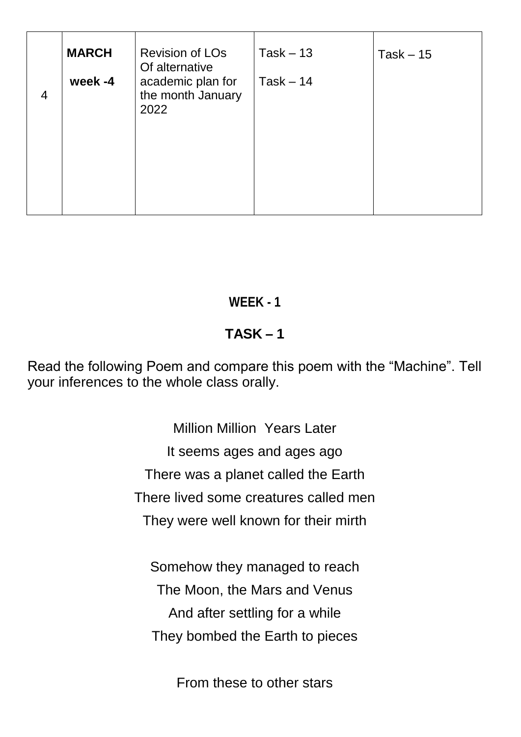|                | <b>MARCH</b> | <b>Revision of LOs</b><br>Of alternative       | $Task - 13$ | $Task - 15$ |
|----------------|--------------|------------------------------------------------|-------------|-------------|
| $\overline{4}$ | week -4      | academic plan for<br>the month January<br>2022 | $Task - 14$ |             |
|                |              |                                                |             |             |

### **WEEK - 1**

## **TASK – 1**

Read the following Poem and compare this poem with the "Machine". Tell your inferences to the whole class orally.

> Million Million Years Later It seems ages and ages ago There was a planet called the Earth There lived some creatures called men They were well known for their mirth

Somehow they managed to reach The Moon, the Mars and Venus And after settling for a while They bombed the Earth to pieces

From these to other stars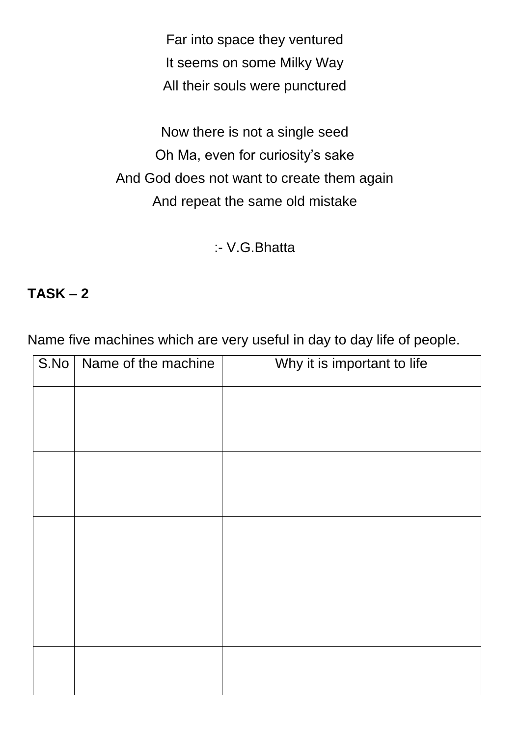Far into space they ventured It seems on some Milky Way All their souls were punctured

Now there is not a single seed Oh Ma, even for curiosity's sake And God does not want to create them again And repeat the same old mistake

:- V.G.Bhatta

#### **TASK – 2**

Name five machines which are very useful in day to day life of people.

| S.No   Name of the machine | Why it is important to life |
|----------------------------|-----------------------------|
|                            |                             |
|                            |                             |
|                            |                             |
|                            |                             |
|                            |                             |
|                            |                             |
|                            |                             |
|                            |                             |
|                            |                             |
|                            |                             |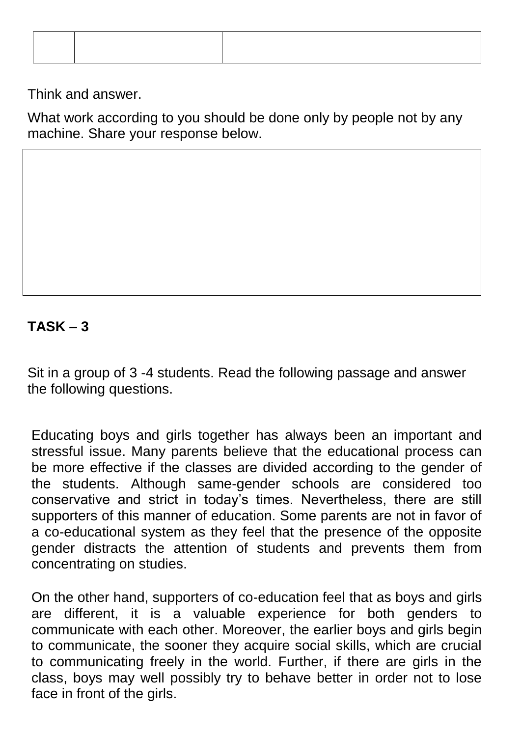Think and answer.

What work according to you should be done only by people not by any machine. Share your response below.

### **TASK – 3**

Sit in a group of 3 -4 students. Read the following passage and answer the following questions.

Educating boys and girls together has always been an important and stressful issue. Many parents believe that the educational process can be more effective if the classes are divided according to the gender of the students. Although same-gender schools are considered too conservative and strict in today"s times. Nevertheless, there are still supporters of this manner of education. Some parents are not in favor of a co-educational system as they feel that the presence of the opposite gender distracts the attention of students and prevents them from concentrating on studies.

On the other hand, supporters of co-education feel that as boys and girls are different, it is a valuable experience for both genders to communicate with each other. Moreover, the earlier boys and girls begin to communicate, the sooner they acquire social skills, which are crucial to communicating freely in the world. Further, if there are girls in the class, boys may well possibly try to behave better in order not to lose face in front of the girls.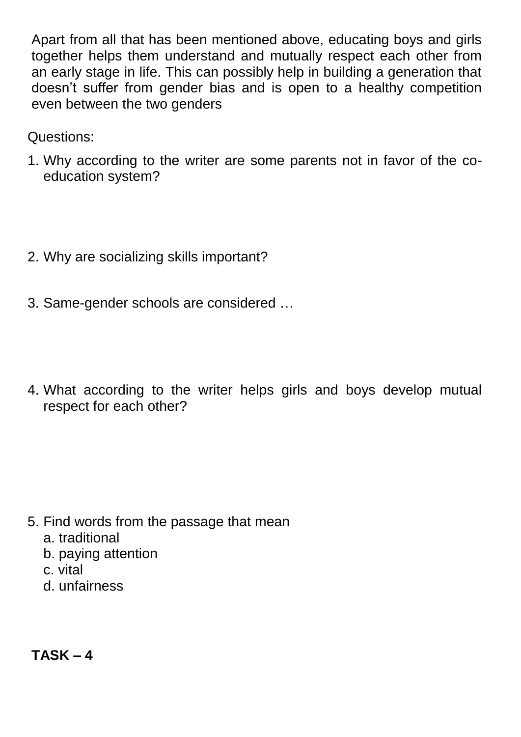Apart from all that has been mentioned above, educating boys and girls together helps them understand and mutually respect each other from an early stage in life. This can possibly help in building a generation that doesn"t suffer from gender bias and is open to a healthy competition even between the two genders

Questions:

- 1. Why according to the writer are some parents not in favor of the coeducation system?
- 2. Why are socializing skills important?
- 3. Same-gender schools are considered …
- 4. What according to the writer helps girls and boys develop mutual respect for each other?

- 5. Find words from the passage that mean
	- a. traditional
	- b. paying attention
	- c. vital
	- d. unfairness

**TASK – 4**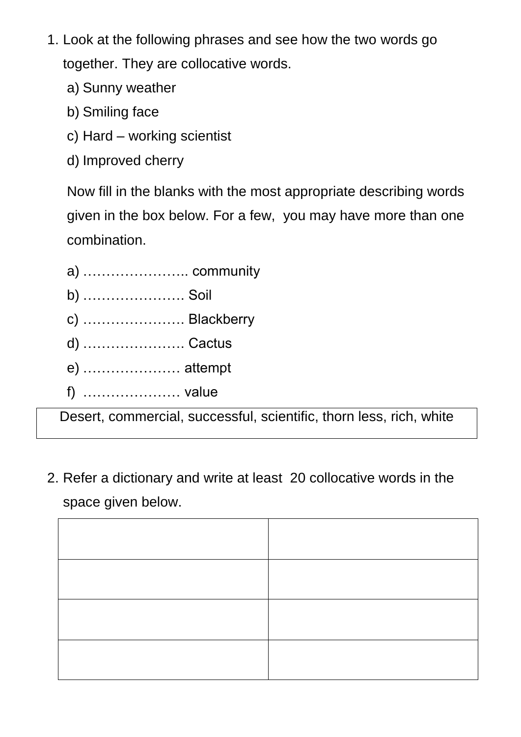- 1. Look at the following phrases and see how the two words go together. They are collocative words.
	- a) Sunny weather
	- b) Smiling face
	- c) Hard working scientist
	- d) Improved cherry

Now fill in the blanks with the most appropriate describing words given in the box below. For a few, you may have more than one combination.

| a)  community  |
|----------------|
| b)  Soil       |
| c)  Blackberry |
| d)  Cactus     |
| e)  attempt    |
| f)  value      |
|                |

Desert, commercial, successful, scientific, thorn less, rich, white

2. Refer a dictionary and write at least 20 collocative words in the space given below.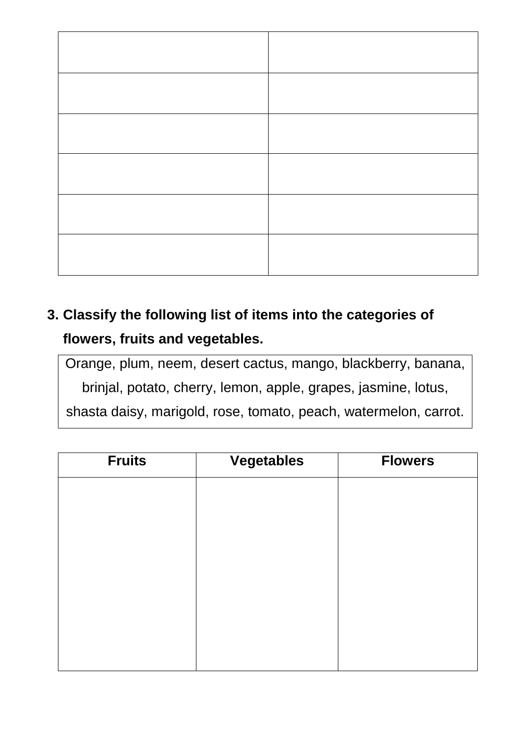# **3. Classify the following list of items into the categories of flowers, fruits and vegetables.**

Orange, plum, neem, desert cactus, mango, blackberry, banana, brinjal, potato, cherry, lemon, apple, grapes, jasmine, lotus, shasta daisy, marigold, rose, tomato, peach, watermelon, carrot.

| <b>Fruits</b> | <b>Vegetables</b> | <b>Flowers</b> |
|---------------|-------------------|----------------|
|               |                   |                |
|               |                   |                |
|               |                   |                |
|               |                   |                |
|               |                   |                |
|               |                   |                |
|               |                   |                |
|               |                   |                |
|               |                   |                |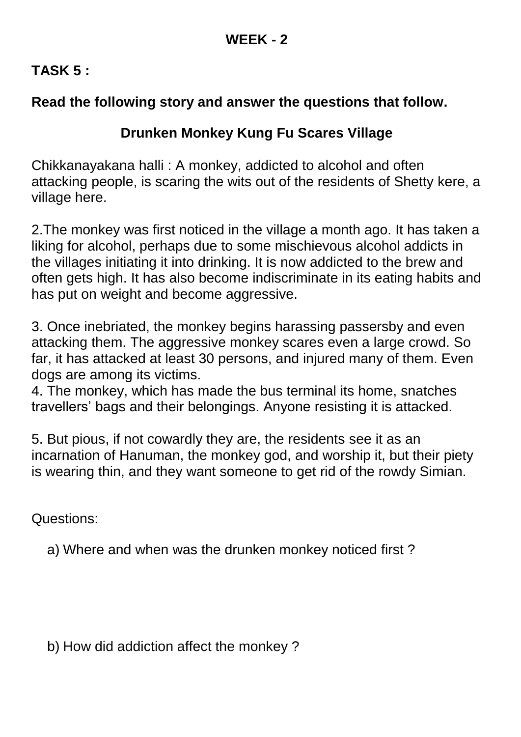### **TASK 5 :**

### **Read the following story and answer the questions that follow.**

### **Drunken Monkey Kung Fu Scares Village**

Chikkanayakana halli : A monkey, addicted to alcohol and often attacking people, is scaring the wits out of the residents of Shetty kere, a village here.

2.The monkey was first noticed in the village a month ago. It has taken a liking for alcohol, perhaps due to some mischievous alcohol addicts in the villages initiating it into drinking. It is now addicted to the brew and often gets high. It has also become indiscriminate in its eating habits and has put on weight and become aggressive.

3. Once inebriated, the monkey begins harassing passersby and even attacking them. The aggressive monkey scares even a large crowd. So far, it has attacked at least 30 persons, and injured many of them. Even dogs are among its victims.

4. The monkey, which has made the bus terminal its home, snatches travellers" bags and their belongings. Anyone resisting it is attacked.

5. But pious, if not cowardly they are, the residents see it as an incarnation of Hanuman, the monkey god, and worship it, but their piety is wearing thin, and they want someone to get rid of the rowdy Simian.

Questions:

a) Where and when was the drunken monkey noticed first ?

b) How did addiction affect the monkey ?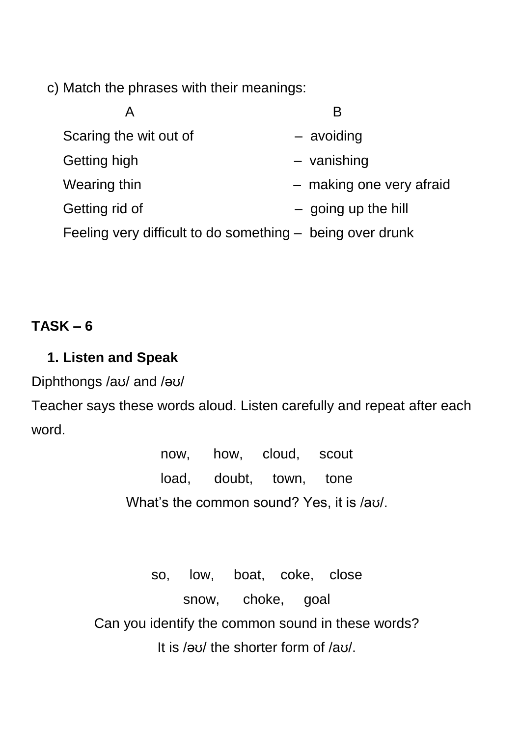c) Match the phrases with their meanings:

| Α                      |                                                           |
|------------------------|-----------------------------------------------------------|
| Scaring the wit out of | - avoiding                                                |
| Getting high           | - vanishing                                               |
| Wearing thin           | - making one very afraid                                  |
| Getting rid of         | $-$ going up the hill                                     |
|                        | Feeling very difficult to do something – being over drunk |

### **TASK – 6**

### **1. Listen and Speak**

Diphthongs /aʊ/ and /əʊ/

Teacher says these words aloud. Listen carefully and repeat after each word.

> now, how, cloud, scout load, doubt, town, tone What"s the common sound? Yes, it is /aʊ/.

so, low, boat, coke, close snow, choke, goal Can you identify the common sound in these words? It is /əʊ/ the shorter form of /aʊ/.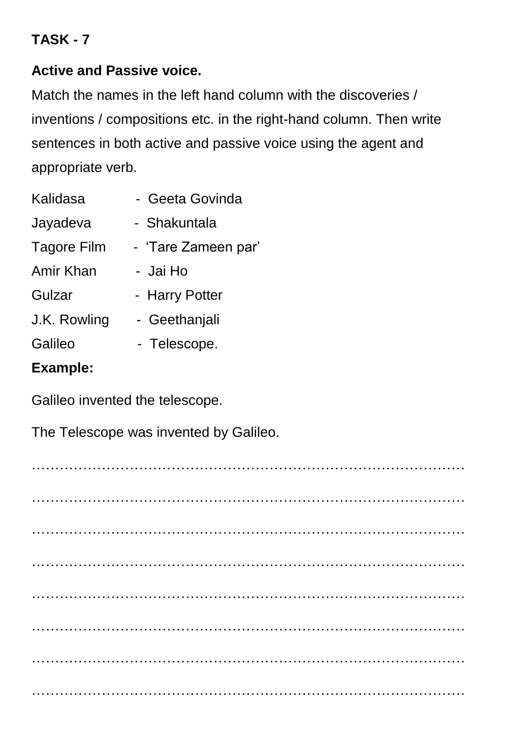### **TASK - 7**

### **Active and Passive voice.**

Match the names in the left hand column with the discoveries / inventions / compositions etc. in the right-hand column. Then write sentences in both active and passive voice using the agent and appropriate verb.

| Kalidasa           | - Geeta Govinda     |
|--------------------|---------------------|
| Jayadeva           | - Shakuntala        |
| <b>Tagore Film</b> | - 'Tare Zameen par' |
| Amir Khan          | - Jai Ho            |
| Gulzar             | - Harry Potter      |
| J.K. Rowling       | - Geethanjali       |
| Galileo            | - Telescope.        |
| <b>Example:</b>    |                     |

Galileo invented the telescope.

The Telescope was invented by Galileo.

 $\mathcal{L}^{(n)}$  . The contract of the contract of the contract of the contract of the contract of the contract of ………………………………………………………………………………… ………………………………………………………………………………… ………………………………………………………………………………… ………………………………………………………………………………… ………………………………………………………………………………… ………………………………………………………………………………… …………………………………………………………………………………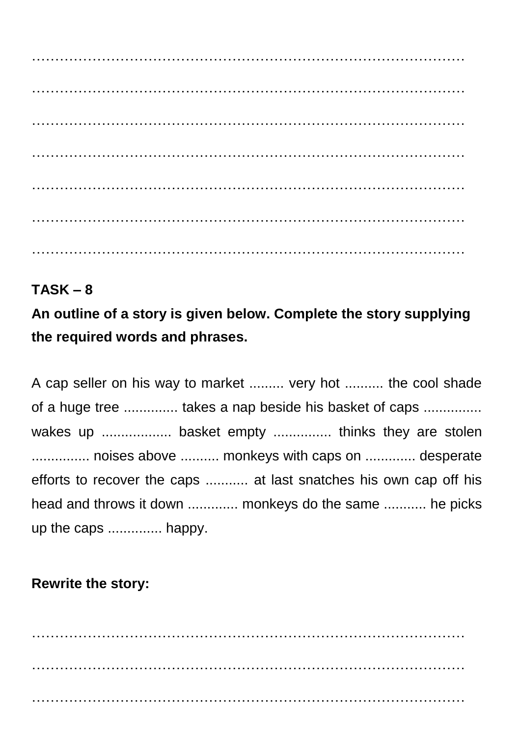………………………………………………………………………………… ………………………………………………………………………………… ………………………………………………………………………………… ………………………………………………………………………………… ………………………………………………………………………………… ………………………………………………………………………………… …………………………………………………………………………………

## **TASK – 8**

**An outline of a story is given below. Complete the story supplying the required words and phrases.**

A cap seller on his way to market ......... very hot .......... the cool shade of a huge tree ............... takes a nap beside his basket of caps ............... wakes up ..................... basket empty .................. thinks they are stolen ............... noises above .......... monkeys with caps on ............. desperate efforts to recover the caps ........... at last snatches his own cap off his head and throws it down ............. monkeys do the same ........... he picks up the caps .............. happy.

## **Rewrite the story:**

………………………………………………………………………………… ………………………………………………………………………………… …………………………………………………………………………………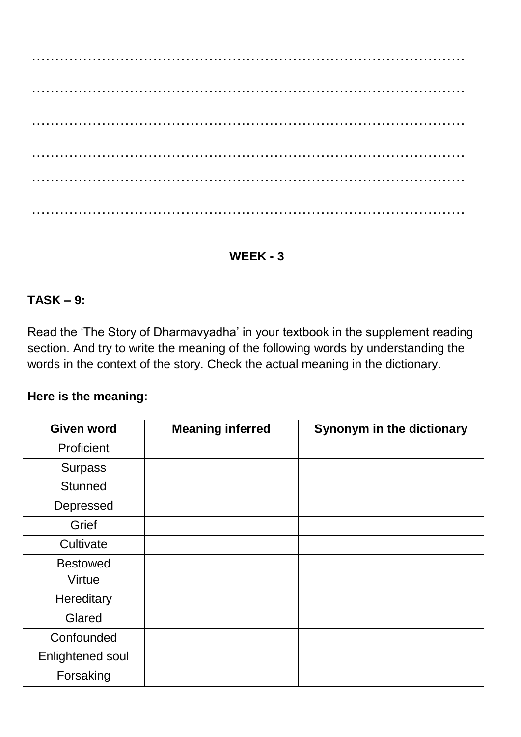………………………………………………………………………………… ………………………………………………………………………………… ………………………………………………………………………………… ………………………………………………………………………………… ………………………………………………………………………………… …………………………………………………………………………………

#### **WEEK - 3**

#### **TASK – 9:**

Read the "The Story of Dharmavyadha" in your textbook in the supplement reading section. And try to write the meaning of the following words by understanding the words in the context of the story. Check the actual meaning in the dictionary.

#### **Here is the meaning:**

| <b>Given word</b>       | <b>Meaning inferred</b> | Synonym in the dictionary |
|-------------------------|-------------------------|---------------------------|
| Proficient              |                         |                           |
| <b>Surpass</b>          |                         |                           |
| <b>Stunned</b>          |                         |                           |
| Depressed               |                         |                           |
| Grief                   |                         |                           |
| Cultivate               |                         |                           |
| <b>Bestowed</b>         |                         |                           |
| Virtue                  |                         |                           |
| Hereditary              |                         |                           |
| Glared                  |                         |                           |
| Confounded              |                         |                           |
| <b>Enlightened soul</b> |                         |                           |
| Forsaking               |                         |                           |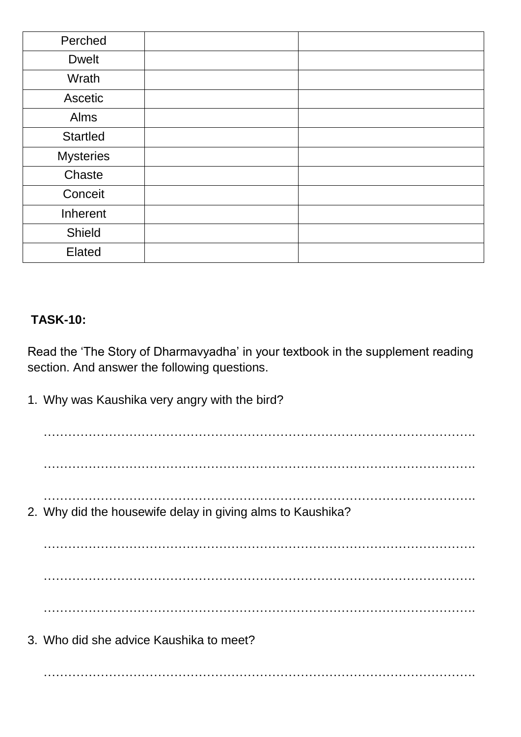| Perched          |  |
|------------------|--|
| <b>Dwelt</b>     |  |
| Wrath            |  |
| Ascetic          |  |
| Alms             |  |
| <b>Startled</b>  |  |
| <b>Mysteries</b> |  |
| Chaste           |  |
| Conceit          |  |
| Inherent         |  |
| Shield           |  |
| Elated           |  |

#### **TASK-10:**

Read the "The Story of Dharmavyadha" in your textbook in the supplement reading section. And answer the following questions.

1. Why was Kaushika very angry with the bird? ……………………………………………………………………………………………. ……………………………………………………………………………………………. ……………………………………………………………………………………………. 2. Why did the housewife delay in giving alms to Kaushika? ……………………………………………………………………………………………. ……………………………………………………………………………………………. ……………………………………………………………………………………………. 3. Who did she advice Kaushika to meet? …………………………………………………………………………………………….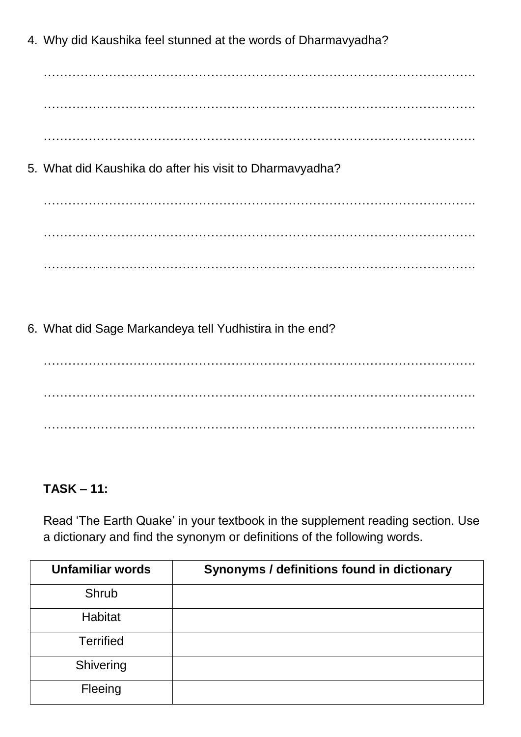4. Why did Kaushika feel stunned at the words of Dharmavyadha?

……………………………………………………………………………………………. …………………………………………………………………………………………….

…………………………………………………………………………………………….

5. What did Kaushika do after his visit to Dharmavyadha?

……………………………………………………………………………………………. ……………………………………………………………………………………………. …………………………………………………………………………………………….

6. What did Sage Markandeya tell Yudhistira in the end?

……………………………………………………………………………………………. ……………………………………………………………………………………………. …………………………………………………………………………………………….

### **TASK – 11:**

Read 'The Earth Quake' in your textbook in the supplement reading section. Use a dictionary and find the synonym or definitions of the following words.

| <b>Unfamiliar words</b> | Synonyms / definitions found in dictionary |
|-------------------------|--------------------------------------------|
| Shrub                   |                                            |
| Habitat                 |                                            |
| <b>Terrified</b>        |                                            |
| Shivering               |                                            |
| Fleeing                 |                                            |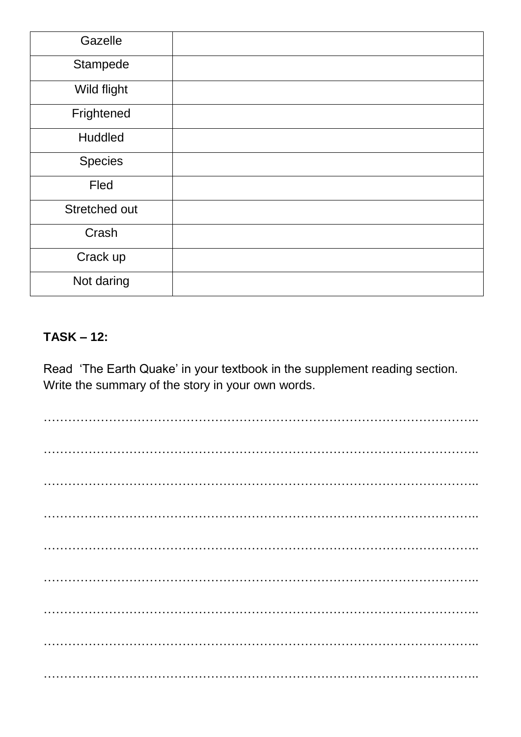| Gazelle       |  |
|---------------|--|
| Stampede      |  |
| Wild flight   |  |
| Frightened    |  |
| Huddled       |  |
| Species       |  |
| Fled          |  |
| Stretched out |  |
| Crash         |  |
| Crack up      |  |
| Not daring    |  |

#### **TASK – 12:**

Read 'The Earth Quake' in your textbook in the supplement reading section. Write the summary of the story in your own words.

…………………………………………………………………………………………….. …………………………………………………………………………………………….. …………………………………………………………………………………………….. …………………………………………………………………………………………….. …………………………………………………………………………………………….. …………………………………………………………………………………………….. …………………………………………………………………………………………….. …………………………………………………………………………………………….. ……………………………………………………………………………………………..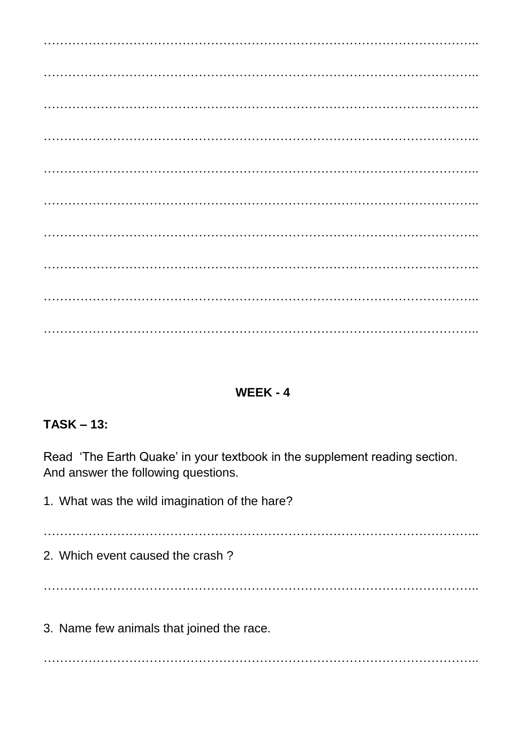### $WEEK - 4$

### $TASK - 13:$

Read 'The Earth Quake' in your textbook in the supplement reading section. And answer the following questions.

1. What was the wild imagination of the hare?

2. Which event caused the crash?

3. Name few animals that joined the race.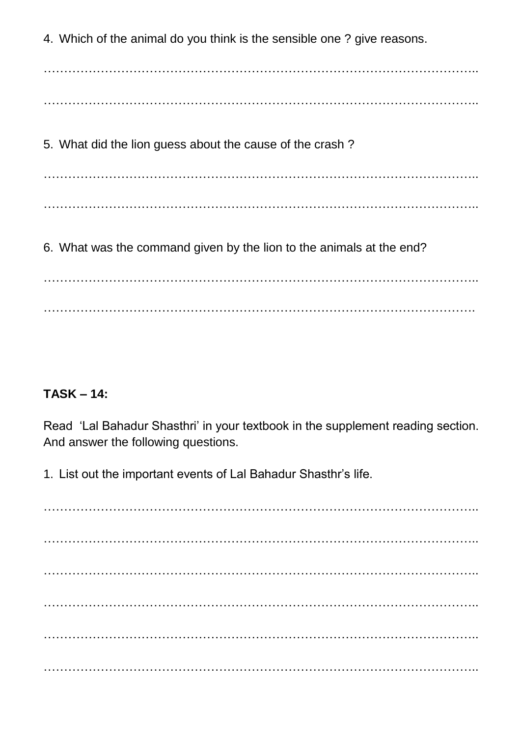4. Which of the animal do you think is the sensible one ? give reasons.

……………………………………………………………………………………………..

……………………………………………………………………………………………..

5. What did the lion guess about the cause of the crash ?

…………………………………………………………………………………………….. ……………………………………………………………………………………………..

6. What was the command given by the lion to the animals at the end?

…………………………………………………………………………………………….. …………………………………………………………………………………………….

#### **TASK – 14:**

Read "Lal Bahadur Shasthri" in your textbook in the supplement reading section. And answer the following questions.

1. List out the important events of Lal Bahadur Shasthr"s life.

…………………………………………………………………………………………….. …………………………………………………………………………………………….. …………………………………………………………………………………………….. …………………………………………………………………………………………….. …………………………………………………………………………………………….. ……………………………………………………………………………………………..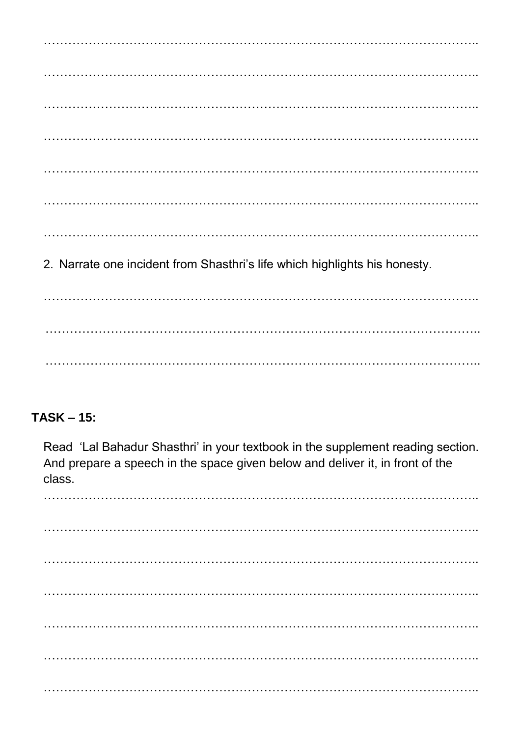2. Narrate one incident from Shasthri's life which highlights his honesty. 

### $TASK - 15:$

Read 'Lal Bahadur Shasthri' in your textbook in the supplement reading section. And prepare a speech in the space given below and deliver it, in front of the class.